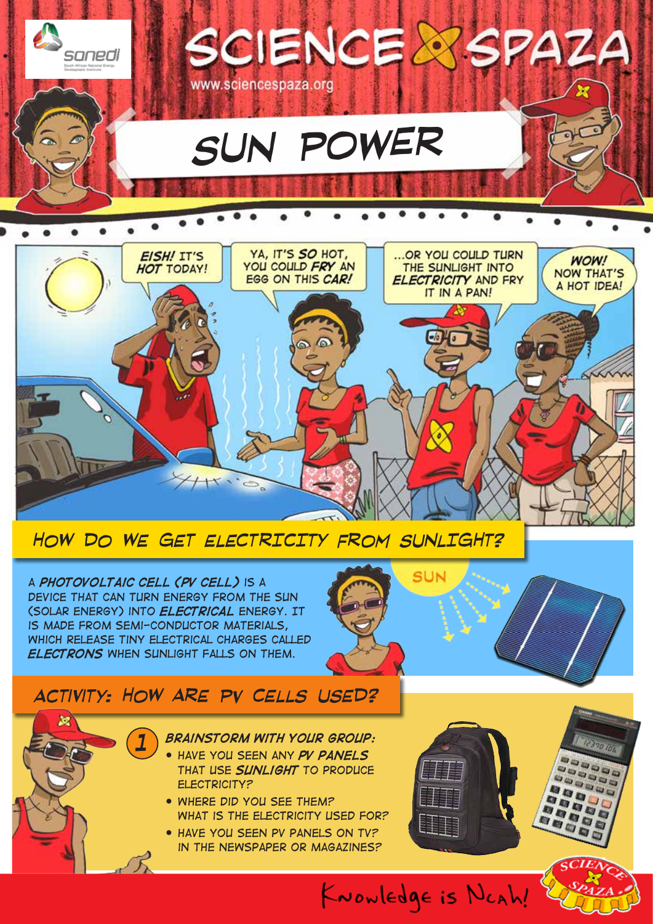

*A photovoltaic cell (PV cell) is a device that can turn energy from the sun (solar energy) into electrical energy. It is made from semi-conductor materials, which release tiny electrical charges called electrons when sunlight falls on them.*

*1*

# SUN

# *activity: HOW ARE PV CELLS USED?*



- *that use sunlight to produce electricity?*
- *Where did you see them? What is the electricity used for?*
- *Have you seen PV panels on TV? in the newspaper or magazines?*



KNOWLEDgE is NCAh!

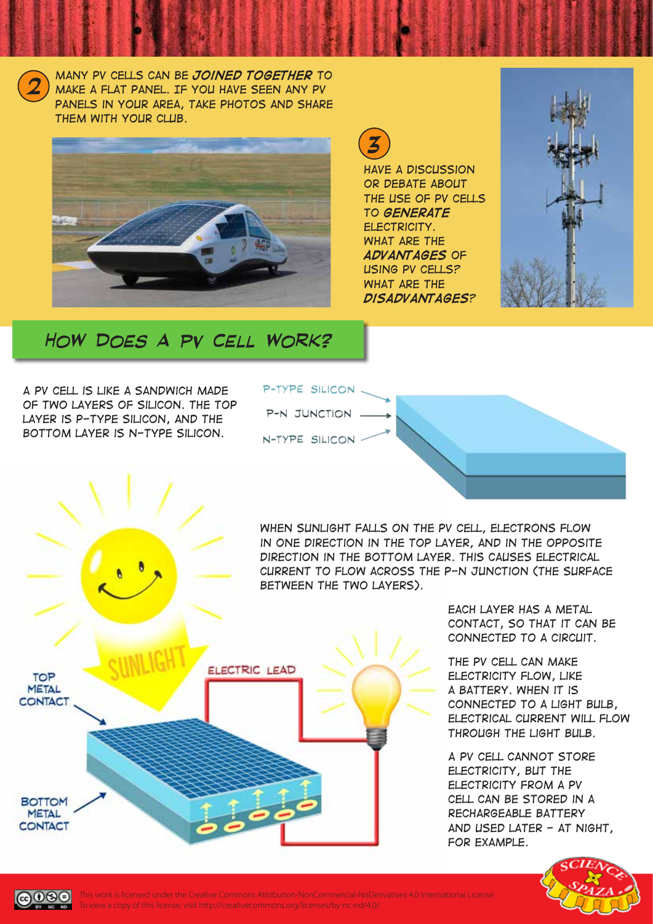*Many PV cells can be joined together to make a flat panel. If you have seen any PV panels in your area, take photos and share them with your club.*

*2*



*3*

*Have a discussion or debate about the use of PV cells to generate electricity. What are the advantages of using PV cells? What are the disadvantages?*



# *HOW DOES A PV CELL WORK?*

*A PV cell is like a sandwich made of two layers of silicon. The top layer is P-type silicon, and the bottom layer is N-type silicon.*



*When sunlight falls on the PV cell, electrons flow in one direction in the top layer, and in the opposite direction in the bottom layer. This causes electrical current to flow across the P-N junction (the surface between the two layers).*



*Each layer has a metal contact, so that it can be connected to a circuit.*

*The PV cell can make electricity flow, like a battery. When it is connected to a light bulb, electrical current will flow through the light bulb.*

*A PV cell cannot store electricity, but the electricity from a PV cell can be stored in a rechargeable battery and used later - at night, for example.* 





This work is licensed under the Creative Commons Attribution-NonCommercial-NoDerivatives 4.0 International License. To view a copy of this license, visit http://creativecommons.org/licenses/by-nc-nd/4.0/.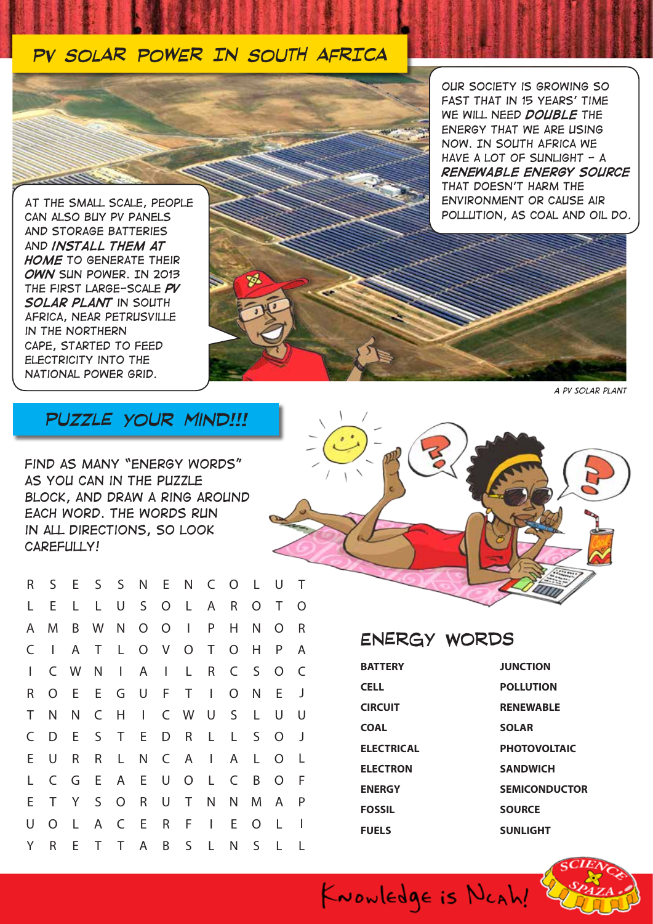### *PV SOLAR POWER IN SOUTH AFRICA*



*Our society is growing so fast that in 15 years' time we will need double the energy that we are using now. In South Africa we have a lot of sunlight - a renewable energy source that doesn't harm the environment or cause air pollution, as coal and oil do.*

*At the small scale, people can also buy PV panels and storage batteries and install them at home to generate their own sun power. In 2013 the first large-scale PV solar plant in South Africa, near Petrusville in the Northern Cape, started to feed electricity into the national power grid.*

*A PV solar plant*

### *puzzle your mind!!!*

*Find as many "energy words" as you can in the puzzle block, and draw a ring around each word. The words run in all directions, so look carefully!*

| $\cup$ | $\top$ |  |  |  |
|--------|--------|--|--|--|
| $\top$ | $\cap$ |  |  |  |

| R            |                |              |  |  | S E S S N E N C O L U |              |         |                | $\top$       |  |
|--------------|----------------|--------------|--|--|-----------------------|--------------|---------|----------------|--------------|--|
| L.           | E              | $\mathsf{L}$ |  |  | L U S O L A           | $R_{\perp}$  | $\circ$ | $\top$         | $\circ$      |  |
| $\mathsf{A}$ | M              |              |  |  | B W N O O I P         | H.           | N.      | $\overline{O}$ | R            |  |
|              | $C \mid$       | $\mathsf{A}$ |  |  | T L O V O T           | $O$ H        |         | $\mathsf{P}$   | A            |  |
| $\mathsf{L}$ |                |              |  |  | C W N I A I L R       |              | C S     | $\Omega$       | C            |  |
| R.           | $\overline{O}$ |              |  |  | E E G U F T I         | $O$ N        |         | $-E$           | J            |  |
| $\top$       | N              | N            |  |  | C H I C W U S         |              | L.      | U              | U            |  |
| C            | D              |              |  |  | E S T E D R L         | $\mathsf{L}$ | $S_{-}$ | O              | ل            |  |
| E.           | U              | R            |  |  | R L N C A I           | A            | L       | O              | -L           |  |
| L            | C              |              |  |  | G E A E U O L C       |              | B       | $\circ$        | -F           |  |
| E            | T              |              |  |  | Y S O R U T N N M     |              |         | A              | $\mathsf{P}$ |  |
| U            | $\overline{O}$ | - Li         |  |  | A C E R F I           | E.           | $\circ$ | -L             | $\mathbf{I}$ |  |
| Y.           |                |              |  |  | R E T T A B S L N S L |              |         |                |              |  |

| ENERGY WURDS   |              |
|----------------|--------------|
| <b>BATTERY</b> | <b>JUNCT</b> |
| <b>CELL</b>    | <b>POLLU</b> |

ENERGY WORDS

**CIRCUIT COAL ELECTRICAL ELECTRON ENERGY FOSSIL FUELS**

KNOWLEDge is NCAh!

**TION POLLE RENEWABLE SOLAR PHOTOVOLTAIC SANDWICH SEMICONDUCTOR SOURCE SUNLIGHT**